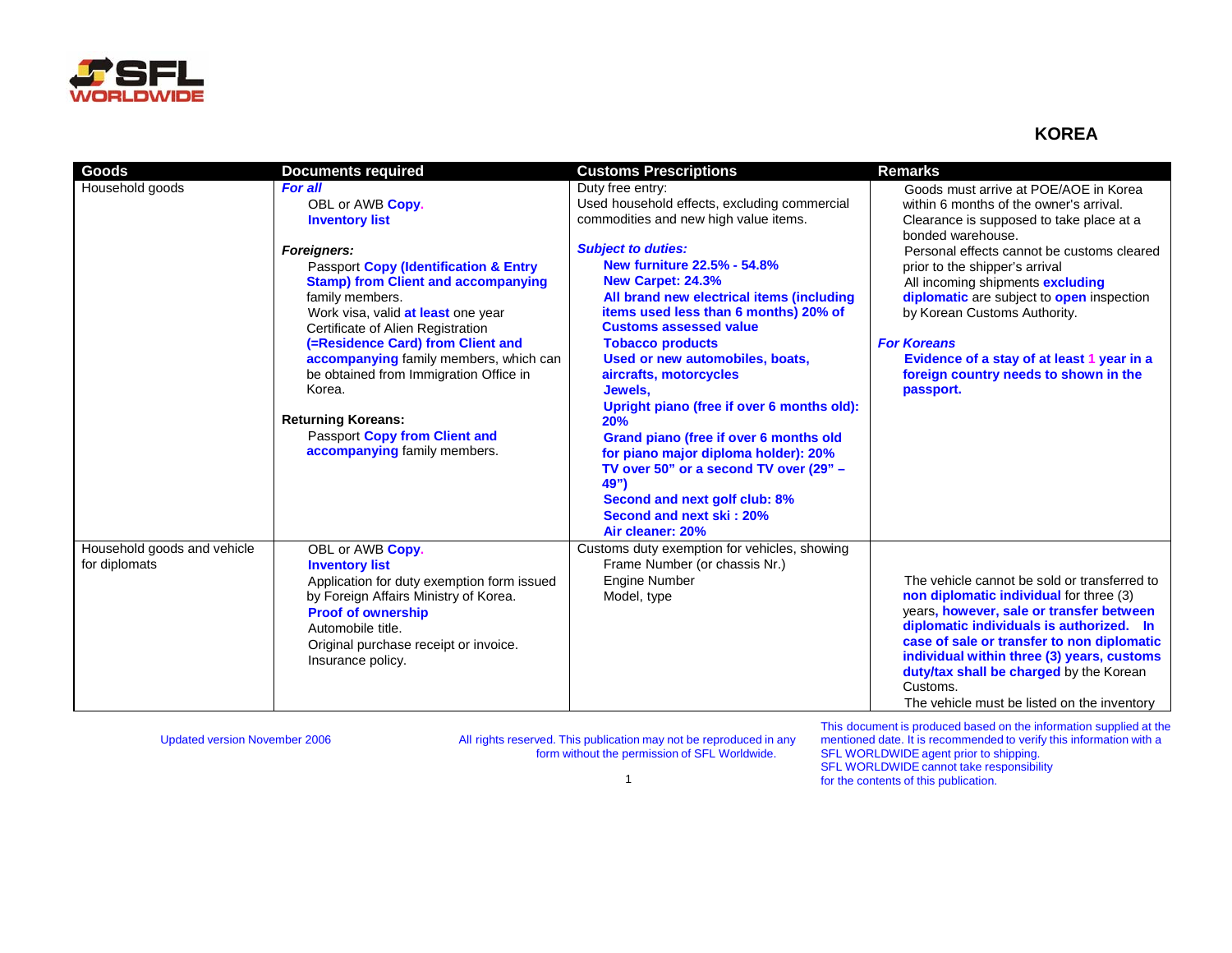

## **KOREA**

| <b>Goods</b>                | <b>Documents required</b>                        | <b>Customs Prescriptions</b>                 | <b>Remarks</b>                                      |
|-----------------------------|--------------------------------------------------|----------------------------------------------|-----------------------------------------------------|
| Household goods             | <b>For all</b>                                   | Duty free entry:                             | Goods must arrive at POE/AOE in Korea               |
|                             | OBL or AWB Copy.                                 | Used household effects, excluding commercial | within 6 months of the owner's arrival.             |
|                             | <b>Inventory list</b>                            | commodities and new high value items.        | Clearance is supposed to take place at a            |
|                             |                                                  |                                              | bonded warehouse.                                   |
|                             | <b>Foreigners:</b>                               | <b>Subject to duties:</b>                    | Personal effects cannot be customs cleared          |
|                             | <b>Passport Copy (Identification &amp; Entry</b> | New furniture 22.5% - 54.8%                  | prior to the shipper's arrival                      |
|                             | <b>Stamp) from Client and accompanying</b>       | New Carpet: 24.3%                            | All incoming shipments excluding                    |
|                             | family members.                                  | All brand new electrical items (including    | diplomatic are subject to open inspection           |
|                             | Work visa, valid at least one year               | items used less than 6 months) 20% of        | by Korean Customs Authority.                        |
|                             | Certificate of Alien Registration                | <b>Customs assessed value</b>                |                                                     |
|                             | (=Residence Card) from Client and                | <b>Tobacco products</b>                      | <b>For Koreans</b>                                  |
|                             | accompanying family members, which can           | Used or new automobiles, boats,              | Evidence of a stay of at least 1 year in a          |
|                             | be obtained from Immigration Office in           | aircrafts, motorcycles                       | foreign country needs to shown in the               |
|                             | Korea.                                           | Jewels,                                      | passport.                                           |
|                             |                                                  | Upright piano (free if over 6 months old):   |                                                     |
|                             | <b>Returning Koreans:</b>                        | 20%                                          |                                                     |
|                             | Passport Copy from Client and                    | Grand piano (free if over 6 months old       |                                                     |
|                             | accompanying family members.                     | for piano major diploma holder): 20%         |                                                     |
|                             |                                                  | TV over 50" or a second TV over (29" -       |                                                     |
|                             |                                                  | 49")                                         |                                                     |
|                             |                                                  | Second and next golf club: 8%                |                                                     |
|                             |                                                  | Second and next ski: 20%                     |                                                     |
|                             |                                                  | Air cleaner: 20%                             |                                                     |
| Household goods and vehicle | OBL or AWB Copy.                                 | Customs duty exemption for vehicles, showing |                                                     |
| for diplomats               | <b>Inventory list</b>                            | Frame Number (or chassis Nr.)                |                                                     |
|                             | Application for duty exemption form issued       | <b>Engine Number</b>                         | The vehicle cannot be sold or transferred to        |
|                             | by Foreign Affairs Ministry of Korea.            | Model, type                                  | non diplomatic individual for three (3)             |
|                             | <b>Proof of ownership</b>                        |                                              | years, however, sale or transfer between            |
|                             | Automobile title.                                |                                              | diplomatic individuals is authorized. In            |
|                             | Original purchase receipt or invoice.            |                                              | case of sale or transfer to non diplomatic          |
|                             | Insurance policy.                                |                                              | individual within three (3) years, customs          |
|                             |                                                  |                                              | duty/tax shall be charged by the Korean<br>Customs. |
|                             |                                                  |                                              |                                                     |
|                             |                                                  |                                              | The vehicle must be listed on the inventory         |

Updated version November 2006 All rights reserved. This publication may not be reproduced in any form without the permission of SFL Worldwide.

This document is produced based on the information supplied at the mentioned date. It is recommended to verify this information with a SFL WORLDWIDE agent prior to shipping. SFL WORLDWIDE cannot take responsibility for the contents of this publication.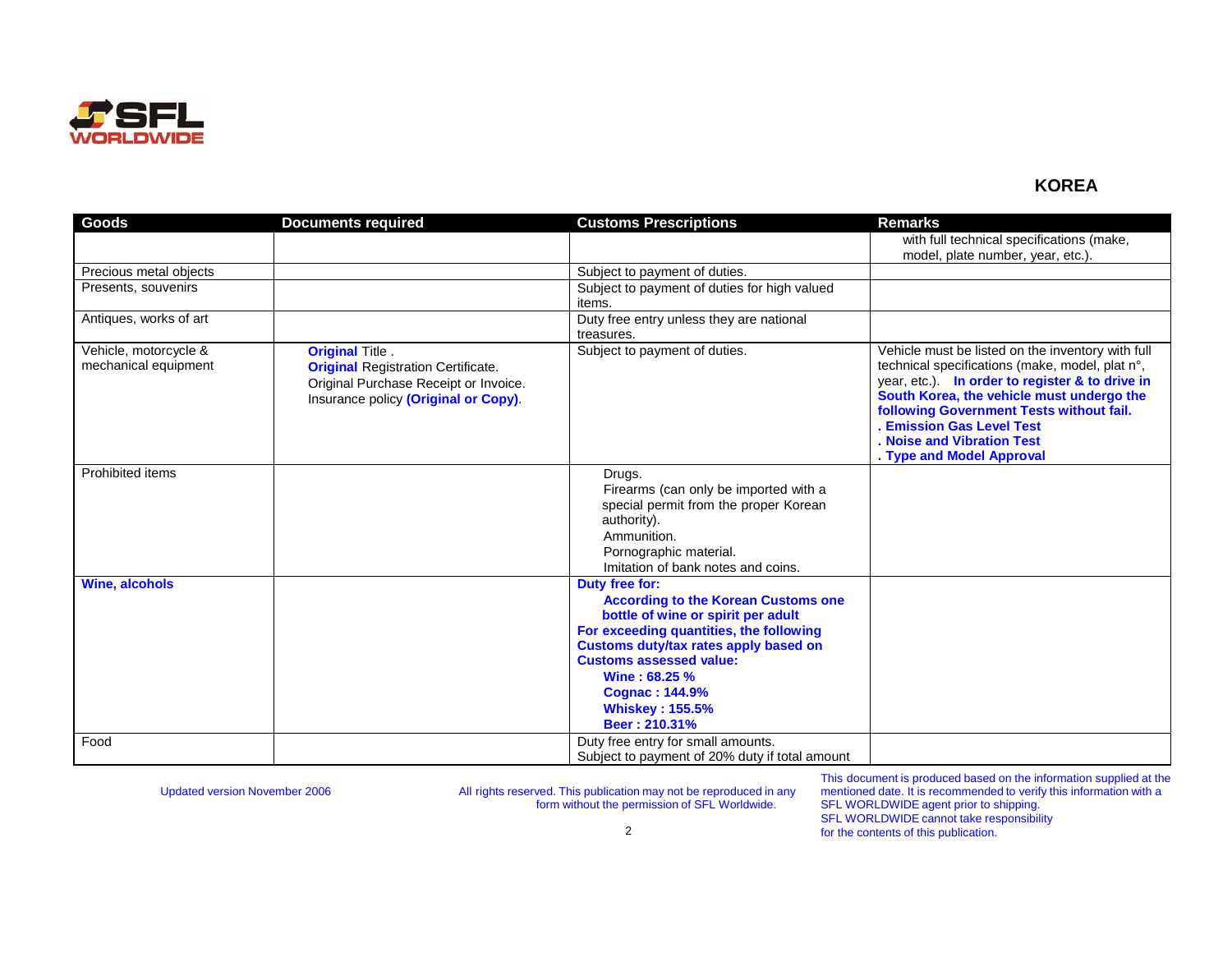

## **KOREA**

| <b>Goods</b>           | <b>Documents required</b>                 | <b>Customs Prescriptions</b>                                                     | <b>Remarks</b>                                                                               |
|------------------------|-------------------------------------------|----------------------------------------------------------------------------------|----------------------------------------------------------------------------------------------|
|                        |                                           |                                                                                  | with full technical specifications (make,                                                    |
|                        |                                           |                                                                                  | model, plate number, year, etc.).                                                            |
| Precious metal objects |                                           | Subject to payment of duties.                                                    |                                                                                              |
| Presents, souvenirs    |                                           | Subject to payment of duties for high valued                                     |                                                                                              |
|                        |                                           | items.                                                                           |                                                                                              |
| Antiques, works of art |                                           | Duty free entry unless they are national                                         |                                                                                              |
|                        |                                           | treasures.                                                                       |                                                                                              |
| Vehicle, motorcycle &  | <b>Original Title.</b>                    | Subject to payment of duties.                                                    | Vehicle must be listed on the inventory with full                                            |
| mechanical equipment   | <b>Original Registration Certificate.</b> |                                                                                  | technical specifications (make, model, plat n°,                                              |
|                        | Original Purchase Receipt or Invoice.     |                                                                                  | year, etc.). In order to register & to drive in<br>South Korea, the vehicle must undergo the |
|                        | Insurance policy (Original or Copy).      |                                                                                  | following Government Tests without fail.                                                     |
|                        |                                           |                                                                                  | <b>Emission Gas Level Test</b>                                                               |
|                        |                                           |                                                                                  | Noise and Vibration Test                                                                     |
|                        |                                           |                                                                                  | . Type and Model Approval                                                                    |
| Prohibited items       |                                           | Drugs.                                                                           |                                                                                              |
|                        |                                           | Firearms (can only be imported with a                                            |                                                                                              |
|                        |                                           | special permit from the proper Korean                                            |                                                                                              |
|                        |                                           | authority).                                                                      |                                                                                              |
|                        |                                           | Ammunition.                                                                      |                                                                                              |
|                        |                                           | Pornographic material.                                                           |                                                                                              |
|                        |                                           | Imitation of bank notes and coins.                                               |                                                                                              |
| <b>Wine, alcohols</b>  |                                           | Duty free for:                                                                   |                                                                                              |
|                        |                                           | <b>According to the Korean Customs one</b><br>bottle of wine or spirit per adult |                                                                                              |
|                        |                                           | For exceeding quantities, the following                                          |                                                                                              |
|                        |                                           | Customs duty/tax rates apply based on                                            |                                                                                              |
|                        |                                           | <b>Customs assessed value:</b>                                                   |                                                                                              |
|                        |                                           | Wine: 68.25 %                                                                    |                                                                                              |
|                        |                                           | <b>Cognac: 144.9%</b>                                                            |                                                                                              |
|                        |                                           | <b>Whiskey: 155.5%</b>                                                           |                                                                                              |
|                        |                                           | Beer: 210.31%                                                                    |                                                                                              |
| Food                   |                                           | Duty free entry for small amounts.                                               |                                                                                              |
|                        |                                           | Subject to payment of 20% duty if total amount                                   |                                                                                              |

Updated version November 2006 **All rights reserved. This publication may not be reproduced in any** Updated version form without the permission of SFL Worldwide.

This document is produced based on the information supplied at the mentioned date. It is recommended to verify this information with a SFL WORLDWIDE agent prior to shipping. SFL WORLDWIDE cannot take responsibility for the contents of this publication.